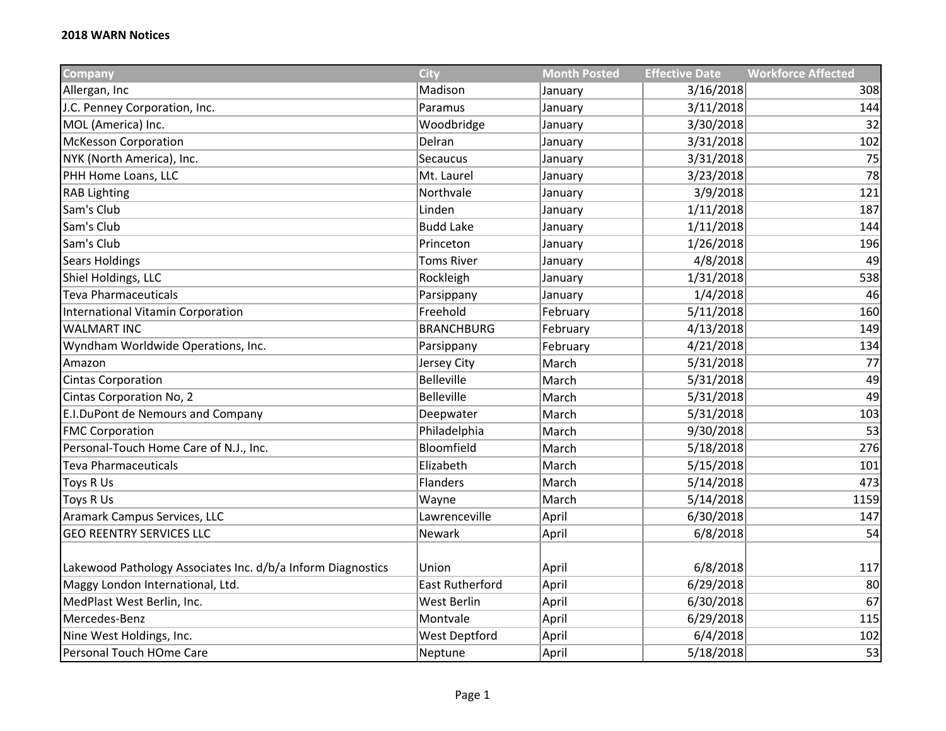| Company                                                     | <b>City</b>            | <b>Month Posted</b> | <b>Effective Date</b> | <b>Workforce Affected</b> |
|-------------------------------------------------------------|------------------------|---------------------|-----------------------|---------------------------|
| Allergan, Inc                                               | Madison                | January             | 3/16/2018             | 308                       |
| J.C. Penney Corporation, Inc.                               | Paramus                | January             | 3/11/2018             | 144                       |
| MOL (America) Inc.                                          | Woodbridge             | January             | 3/30/2018             | 32                        |
| <b>McKesson Corporation</b>                                 | Delran                 | January             | 3/31/2018             | 102                       |
| NYK (North America), Inc.                                   | Secaucus               | January             | 3/31/2018             | 75                        |
| PHH Home Loans, LLC                                         | Mt. Laurel             | January             | 3/23/2018             | 78                        |
| <b>RAB Lighting</b>                                         | Northvale              | January             | 3/9/2018              | 121                       |
| Sam's Club                                                  | Linden                 | January             | 1/11/2018             | 187                       |
| Sam's Club                                                  | <b>Budd Lake</b>       | January             | 1/11/2018             | 144                       |
| Sam's Club                                                  | Princeton              | January             | 1/26/2018             | 196                       |
| <b>Sears Holdings</b>                                       | <b>Toms River</b>      | January             | 4/8/2018              | 49                        |
| Shiel Holdings, LLC                                         | Rockleigh              | January             | 1/31/2018             | 538                       |
| <b>Teva Pharmaceuticals</b>                                 | Parsippany             | January             | 1/4/2018              | 46                        |
| International Vitamin Corporation                           | Freehold               | February            | 5/11/2018             | 160                       |
| <b>WALMART INC</b>                                          | <b>BRANCHBURG</b>      | February            | 4/13/2018             | 149                       |
| Wyndham Worldwide Operations, Inc.                          | Parsippany             | February            | 4/21/2018             | 134                       |
| Amazon                                                      | Jersey City            | March               | 5/31/2018             | 77                        |
| Cintas Corporation                                          | <b>Belleville</b>      | March               | 5/31/2018             | 49                        |
| Cintas Corporation No, 2                                    | <b>Belleville</b>      | March               | 5/31/2018             | 49                        |
| E.I.DuPont de Nemours and Company                           | Deepwater              | March               | 5/31/2018             | 103                       |
| <b>FMC Corporation</b>                                      | Philadelphia           | March               | 9/30/2018             | 53                        |
| Personal-Touch Home Care of N.J., Inc.                      | Bloomfield             | March               | 5/18/2018             | 276                       |
| <b>Teva Pharmaceuticals</b>                                 | Elizabeth              | March               | 5/15/2018             | 101                       |
| Toys R Us                                                   | <b>Flanders</b>        | March               | 5/14/2018             | 473                       |
| <b>Toys R Us</b>                                            | Wayne                  | March               | 5/14/2018             | 1159                      |
| Aramark Campus Services, LLC                                | Lawrenceville          | April               | 6/30/2018             | 147                       |
| <b>GEO REENTRY SERVICES LLC</b>                             | Newark                 | April               | 6/8/2018              | 54                        |
|                                                             |                        |                     |                       |                           |
| Lakewood Pathology Associates Inc. d/b/a Inform Diagnostics | Union                  | April               | 6/8/2018              | 117                       |
| Maggy London International, Ltd.                            | <b>East Rutherford</b> | April               | 6/29/2018             | 80                        |
| MedPlast West Berlin, Inc.                                  | <b>West Berlin</b>     | April               | 6/30/2018             | 67                        |
| Mercedes-Benz                                               | Montvale               | April               | 6/29/2018             | 115                       |
| Nine West Holdings, Inc.                                    | <b>West Deptford</b>   | April               | 6/4/2018              | 102                       |
| Personal Touch HOme Care                                    | Neptune                | April               | 5/18/2018             | 53                        |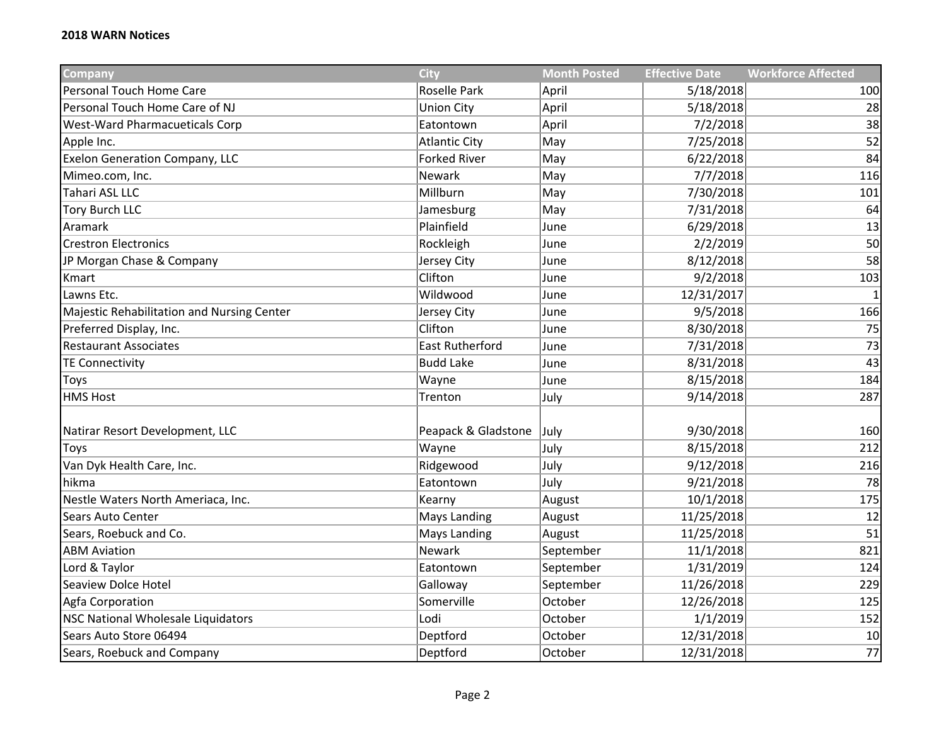| <b>Company</b>                             | <b>City</b>            | <b>Month Posted</b> | <b>Effective Date</b> | <b>Workforce Affected</b> |
|--------------------------------------------|------------------------|---------------------|-----------------------|---------------------------|
| Personal Touch Home Care                   | Roselle Park           | April               | 5/18/2018             | 100                       |
| Personal Touch Home Care of NJ             | <b>Union City</b>      | April               | 5/18/2018             | 28                        |
| <b>West-Ward Pharmacueticals Corp</b>      | Eatontown              | April               | 7/2/2018              | 38                        |
| Apple Inc.                                 | <b>Atlantic City</b>   | May                 | 7/25/2018             | 52                        |
| <b>Exelon Generation Company, LLC</b>      | <b>Forked River</b>    | May                 | 6/22/2018             | 84                        |
| Mimeo.com, Inc.                            | Newark                 | May                 | 7/7/2018              | 116                       |
| Tahari ASL LLC                             | Millburn               | May                 | 7/30/2018             | 101                       |
| <b>Tory Burch LLC</b>                      | Jamesburg              | May                 | 7/31/2018             | 64                        |
| Aramark                                    | Plainfield             | June                | 6/29/2018             | 13                        |
| <b>Crestron Electronics</b>                | Rockleigh              | June                | 2/2/2019              | 50                        |
| JP Morgan Chase & Company                  | Jersey City            | June                | 8/12/2018             | 58                        |
| Kmart                                      | Clifton                | June                | 9/2/2018              | 103                       |
| Lawns Etc.                                 | Wildwood               | June                | 12/31/2017            | $\mathbf{1}$              |
| Majestic Rehabilitation and Nursing Center | Jersey City            | June                | 9/5/2018              | 166                       |
| Preferred Display, Inc.                    | Clifton                | June                | 8/30/2018             | 75                        |
| <b>Restaurant Associates</b>               | <b>East Rutherford</b> | June                | 7/31/2018             | 73                        |
| <b>TE Connectivity</b>                     | <b>Budd Lake</b>       | June                | 8/31/2018             | 43                        |
| Toys                                       | Wayne                  | June                | 8/15/2018             | 184                       |
| <b>HMS Host</b>                            | Trenton                | July                | 9/14/2018             | 287                       |
|                                            |                        |                     |                       |                           |
| Natirar Resort Development, LLC            | Peapack & Gladstone    | July                | 9/30/2018             | 160                       |
| Toys                                       | Wayne                  | July                | 8/15/2018             | 212                       |
| Van Dyk Health Care, Inc.                  | Ridgewood              | July                | 9/12/2018             | 216                       |
| hikma                                      | Eatontown              | July                | 9/21/2018             | 78                        |
| Nestle Waters North Ameriaca, Inc.         | Kearny                 | August              | 10/1/2018             | 175                       |
| Sears Auto Center                          | Mays Landing           | August              | 11/25/2018            | 12                        |
| Sears, Roebuck and Co.                     | Mays Landing           | August              | 11/25/2018            | 51                        |
| <b>ABM Aviation</b>                        | Newark                 | September           | 11/1/2018             | 821                       |
| Lord & Taylor                              | Eatontown              | September           | 1/31/2019             | 124                       |
| Seaview Dolce Hotel                        | Galloway               | September           | 11/26/2018            | 229                       |
| Agfa Corporation                           | Somerville             | October             | 12/26/2018            | 125                       |
| NSC National Wholesale Liquidators         | Lodi                   | October             | 1/1/2019              | 152                       |
| Sears Auto Store 06494                     | Deptford               | October             | 12/31/2018            | 10                        |
| Sears, Roebuck and Company                 | Deptford               | October             | 12/31/2018            | 77                        |